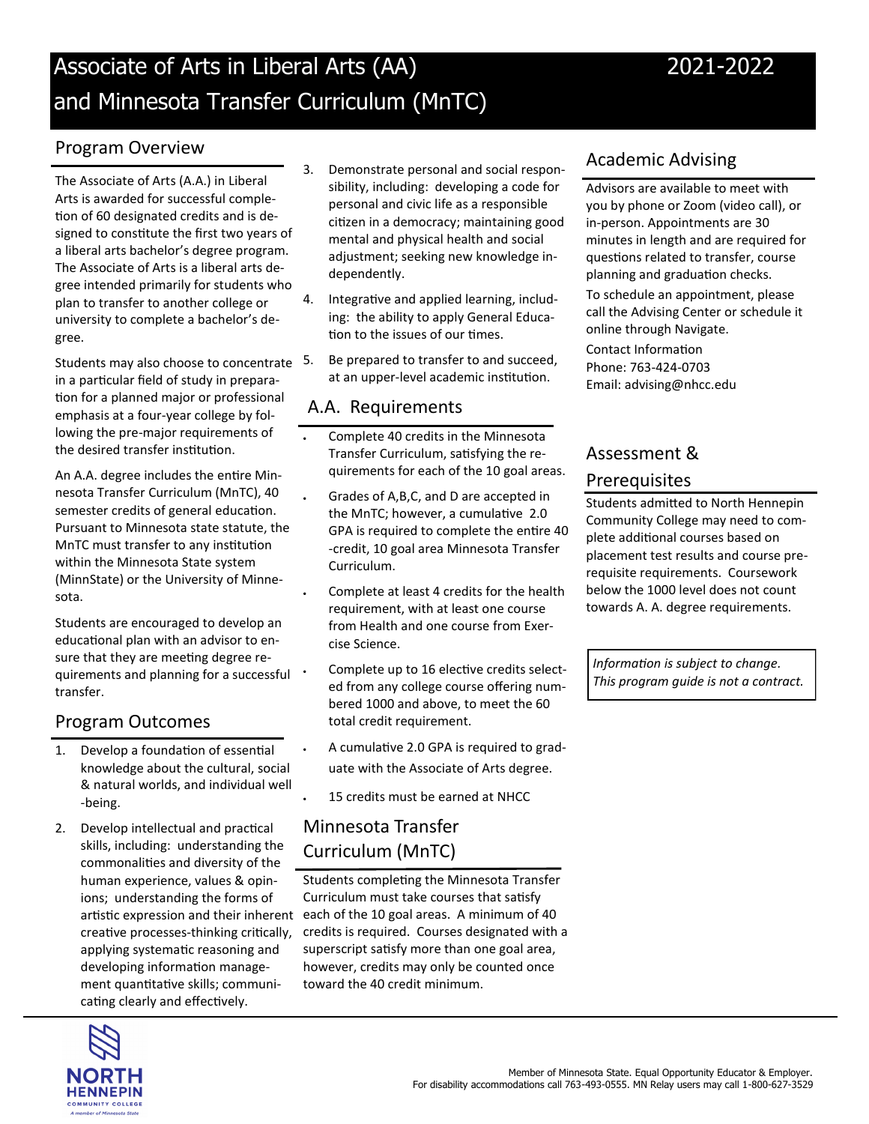# Associate of Arts in Liberal Arts (AA) 2021-2022 and Minnesota Transfer Curriculum (MnTC)

### Program Overview

The Associate of Arts (A.A.) in Liberal Arts is awarded for successful completion of 60 designated credits and is designed to constitute the first two years of a liberal arts bachelor's degree program. The Associate of Arts is a liberal arts degree intended primarily for students who plan to transfer to another college or university to complete a bachelor's degree.

Students may also choose to concentrate 5. in a particular field of study in preparation for a planned major or professional emphasis at a four-year college by following the pre-major requirements of the desired transfer institution.

An A.A. degree includes the entre Minnesota Transfer Curriculum (MnTC), 40 semester credits of general education. Pursuant to Minnesota state statute, the MnTC must transfer to any institution within the Minnesota State system (MinnState) or the University of Minnesota.

Students are encouraged to develop an educational plan with an advisor to ensure that they are meeting degree requirements and planning for a successful transfer.

#### Program Outcomes

- 1. Develop a foundation of essential knowledge about the cultural, social & natural worlds, and individual well -being.
- 2. Develop intellectual and practical skills, including: understanding the commonalites and diversity of the human experience, values & opinions; understanding the forms of creative processes-thinking critically, applying systematic reasoning and developing information management quantitative skills; communicating clearly and effectively.
- 3. Demonstrate personal and social responsibility, including: developing a code for personal and civic life as a responsible citizen in a democracy; maintaining good mental and physical health and social adjustment; seeking new knowledge independently.
- 4. Integrative and applied learning, including: the ability to apply General Education to the issues of our times.
- 5. Be prepared to transfer to and succeed, at an upper-level academic institution.

#### A.A. Requirements

- Complete 40 credits in the Minnesota Transfer Curriculum, satsfying the requirements for each of the 10 goal areas.
- Grades of A,B,C, and D are accepted in the MnTC; however, a cumulative 2.0 GPA is required to complete the entre 40 -credit, 10 goal area Minnesota Transfer Curriculum.
	- Complete at least 4 credits for the health requirement, with at least one course from Health and one course from Exercise Science.
	- Complete up to 16 elective credits selected from any college course offering numbered 1000 and above, to meet the 60 total credit requirement.
	- A cumulatve 2.0 GPA is required to graduate with the Associate of Arts degree.
	- 15 credits must be earned at NHCC

# Minnesota Transfer Curriculum (MnTC)

artistic expression and their inherent each of the 10 goal areas. A minimum of 40 Students completing the Minnesota Transfer Curriculum must take courses that satisfy credits is required. Courses designated with a superscript satisfy more than one goal area, however, credits may only be counted once toward the 40 credit minimum.

## Academic Advising

Advisors are available to meet with you by phone or Zoom (video call), or in-person. Appointments are 30 minutes in length and are required for questions related to transfer, course planning and graduation checks.

To schedule an appointment, please call the Advising Center or schedule it online through Navigate.

Contact Information Phone: 763-424-0703 Email: advising@nhcc.edu

# Assessment &

### **Prerequisites**

Students admited to North Hennepin Community College may need to complete additonal courses based on placement test results and course prerequisite requirements. Coursework below the 1000 level does not count towards A. A. degree requirements.

*Informaton is subject to change. This program guide is not a contract.*

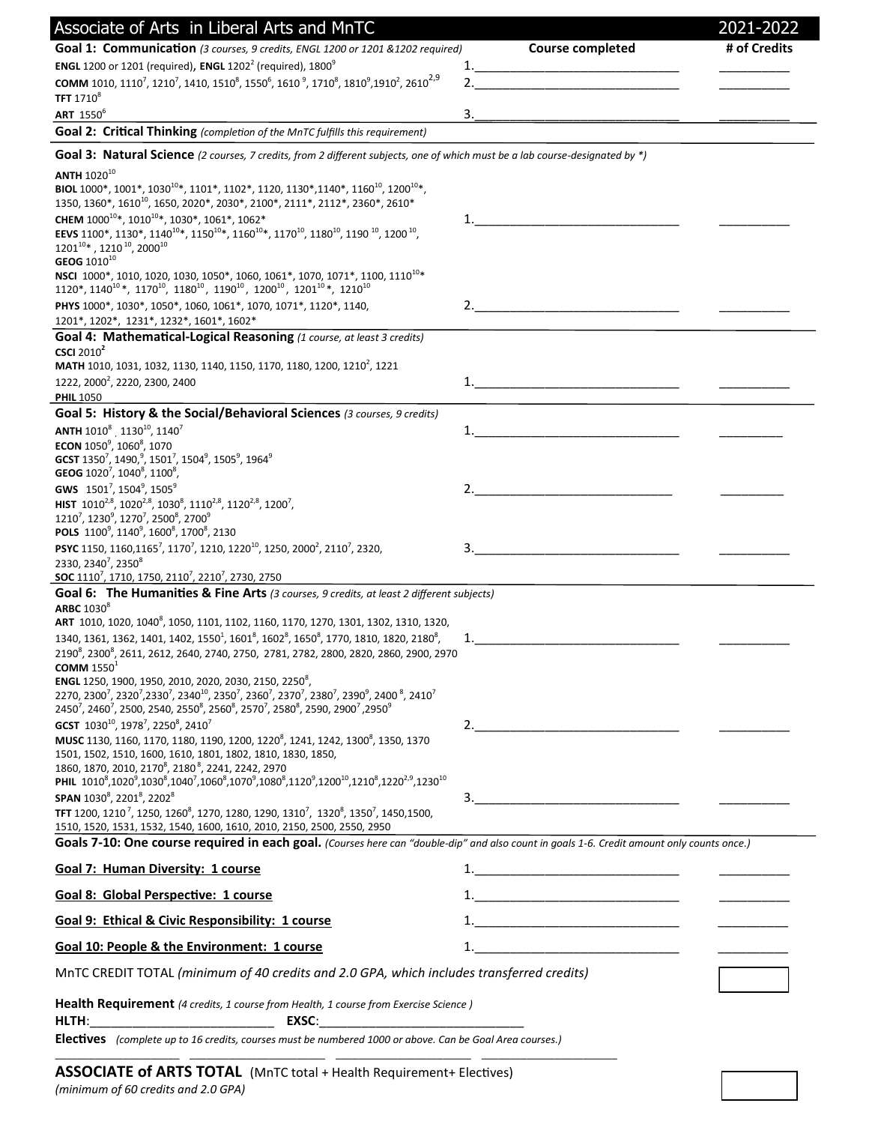| Associate of Arts in Liberal Arts and MnTC                                                                                                                                                                                                                                                                                                                                                                          |                                                                                                                                                                                                                                                                                                                                                                                                                                                                                  | 2021-2022    |
|---------------------------------------------------------------------------------------------------------------------------------------------------------------------------------------------------------------------------------------------------------------------------------------------------------------------------------------------------------------------------------------------------------------------|----------------------------------------------------------------------------------------------------------------------------------------------------------------------------------------------------------------------------------------------------------------------------------------------------------------------------------------------------------------------------------------------------------------------------------------------------------------------------------|--------------|
| Goal 1: Communication (3 courses, 9 credits, ENGL 1200 or 1201 & 1202 required)                                                                                                                                                                                                                                                                                                                                     | <b>Course completed</b>                                                                                                                                                                                                                                                                                                                                                                                                                                                          | # of Credits |
| <b>ENGL</b> 1200 or 1201 (required), <b>ENGL</b> 1202 <sup>2</sup> (required), 1800 <sup>9</sup>                                                                                                                                                                                                                                                                                                                    |                                                                                                                                                                                                                                                                                                                                                                                                                                                                                  |              |
| <b>COMM</b> 1010, 1110 <sup>7</sup> , 1210 <sup>7</sup> , 1410, 1510 <sup>8</sup> , 1550 <sup>6</sup> , 1610 <sup>9</sup> , 1710 <sup>8</sup> , 1810 <sup>9</sup> , 1910 <sup>2</sup> , 2610 <sup>2,9</sup><br>TFT 1710 <sup>8</sup>                                                                                                                                                                                |                                                                                                                                                                                                                                                                                                                                                                                                                                                                                  |              |
| ART 1550 <sup>6</sup>                                                                                                                                                                                                                                                                                                                                                                                               | 3.                                                                                                                                                                                                                                                                                                                                                                                                                                                                               |              |
| Goal 2: Critical Thinking (completion of the MnTC fulfills this requirement)                                                                                                                                                                                                                                                                                                                                        |                                                                                                                                                                                                                                                                                                                                                                                                                                                                                  |              |
| Goal 3: Natural Science (2 courses, 7 credits, from 2 different subjects, one of which must be a lab course-designated by *)                                                                                                                                                                                                                                                                                        |                                                                                                                                                                                                                                                                                                                                                                                                                                                                                  |              |
| <b>ANTH 102010</b>                                                                                                                                                                                                                                                                                                                                                                                                  |                                                                                                                                                                                                                                                                                                                                                                                                                                                                                  |              |
| BIOL 1000*, 1001*, 1030 <sup>10*</sup> , 1101*, 1102*, 1120, 1130*, 1140*, 1160 <sup>10</sup> , 1200 <sup>10*</sup> ,<br>1350, 1360*, 1610 <sup>10</sup> , 1650, 2020*, 2030*, 2100*, 2111*, 2112*, 2360*, 2610*                                                                                                                                                                                                    |                                                                                                                                                                                                                                                                                                                                                                                                                                                                                  |              |
| CHEM 1000 <sup>10*</sup> , 1010 <sup>10*</sup> , 1030 <sup>*</sup> , 1061 <sup>*</sup> , 1062 <sup>*</sup>                                                                                                                                                                                                                                                                                                          |                                                                                                                                                                                                                                                                                                                                                                                                                                                                                  |              |
| EEVS 1100*, 1130*, 1140 <sup>10</sup> *, 1150 <sup>10</sup> *, 1160 <sup>10</sup> *, 1170 <sup>10</sup> , 1180 <sup>10</sup> , 1190 <sup>10</sup> , 1200 <sup>10</sup> ,                                                                                                                                                                                                                                            |                                                                                                                                                                                                                                                                                                                                                                                                                                                                                  |              |
| $1201^{10*}$ , 1210 $^{10}$ , 2000 $^{10}$<br>GEOG 1010 <sup>10</sup>                                                                                                                                                                                                                                                                                                                                               |                                                                                                                                                                                                                                                                                                                                                                                                                                                                                  |              |
| NSCI 1000*, 1010, 1020, 1030, 1050*, 1060, 1061*, 1070, 1071*, 1100, 1110 <sup>10</sup> *                                                                                                                                                                                                                                                                                                                           |                                                                                                                                                                                                                                                                                                                                                                                                                                                                                  |              |
| $1120^*$ , $1140^{10*}$ , $1170^{10}$ , $1180^{10}$ , $1190^{10}$ , $1200^{10}$ , $1201^{10*}$ , $1210^{10}$                                                                                                                                                                                                                                                                                                        |                                                                                                                                                                                                                                                                                                                                                                                                                                                                                  |              |
| PHYS 1000*, 1030*, 1050*, 1060, 1061*, 1070, 1071*, 1120*, 1140,<br>1201*, 1202*, 1231*, 1232*, 1601*, 1602*                                                                                                                                                                                                                                                                                                        |                                                                                                                                                                                                                                                                                                                                                                                                                                                                                  |              |
| Goal 4: Mathematical-Logical Reasoning (1 course, at least 3 credits)                                                                                                                                                                                                                                                                                                                                               |                                                                                                                                                                                                                                                                                                                                                                                                                                                                                  |              |
| <b>CSCI</b> 2010 <sup>2</sup><br>MATH 1010, 1031, 1032, 1130, 1140, 1150, 1170, 1180, 1200, 1210 <sup>2</sup> , 1221                                                                                                                                                                                                                                                                                                |                                                                                                                                                                                                                                                                                                                                                                                                                                                                                  |              |
| 1222, 2000 <sup>2</sup> , 2220, 2300, 2400                                                                                                                                                                                                                                                                                                                                                                          |                                                                                                                                                                                                                                                                                                                                                                                                                                                                                  |              |
| <b>PHIL 1050</b>                                                                                                                                                                                                                                                                                                                                                                                                    |                                                                                                                                                                                                                                                                                                                                                                                                                                                                                  |              |
| Goal 5: History & the Social/Behavioral Sciences (3 courses, 9 credits)                                                                                                                                                                                                                                                                                                                                             |                                                                                                                                                                                                                                                                                                                                                                                                                                                                                  |              |
| ANTH 1010 <sup>8</sup> 1130 <sup>10</sup> , 1140 <sup>7</sup><br>ECON 10509, 10608, 1070                                                                                                                                                                                                                                                                                                                            | 1.                                                                                                                                                                                                                                                                                                                                                                                                                                                                               |              |
| GCST 1350 <sup>7</sup> , 1490, <sup>9</sup> , 1501 <sup>7</sup> , 1504 <sup>9</sup> , 1505 <sup>9</sup> , 1964 <sup>9</sup>                                                                                                                                                                                                                                                                                         |                                                                                                                                                                                                                                                                                                                                                                                                                                                                                  |              |
| GEOG 1020 <sup>7</sup> , 1040 <sup>8</sup> , 1100 <sup>8</sup> ,                                                                                                                                                                                                                                                                                                                                                    |                                                                                                                                                                                                                                                                                                                                                                                                                                                                                  |              |
| GWS 1501 <sup>7</sup> , 1504 <sup>9</sup> , 1505 <sup>9</sup><br>HIST 1010 <sup>2,8</sup> , 1020 <sup>2,8</sup> , 1030 <sup>8</sup> , 1110 <sup>2,8</sup> , 1120 <sup>2,8</sup> , 1200 <sup>7</sup> ,                                                                                                                                                                                                               |                                                                                                                                                                                                                                                                                                                                                                                                                                                                                  |              |
| 1210 <sup>7</sup> , 1230 <sup>9</sup> , 1270 <sup>7</sup> , 2500 <sup>8</sup> , 2700 <sup>9</sup>                                                                                                                                                                                                                                                                                                                   |                                                                                                                                                                                                                                                                                                                                                                                                                                                                                  |              |
| POLS 1100 <sup>9</sup> , 1140 <sup>9</sup> , 1600 <sup>8</sup> , 1700 <sup>8</sup> , 2130<br>PSYC 1150, 1160, 1165 <sup>7</sup> , 1170 <sup>7</sup> , 1210, 1220 <sup>10</sup> , 1250, 2000 <sup>2</sup> , 2110 <sup>7</sup> , 2320,                                                                                                                                                                                |                                                                                                                                                                                                                                                                                                                                                                                                                                                                                  |              |
| 2330, 2340 <sup>7</sup> , 2350 <sup>8</sup>                                                                                                                                                                                                                                                                                                                                                                         |                                                                                                                                                                                                                                                                                                                                                                                                                                                                                  |              |
| SOC 1110 <sup>7</sup> , 1710, 1750, 2110 <sup>7</sup> , 2210 <sup>7</sup> , 2730, 2750                                                                                                                                                                                                                                                                                                                              |                                                                                                                                                                                                                                                                                                                                                                                                                                                                                  |              |
| Goal 6: The Humanities & Fine Arts (3 courses, 9 credits, at least 2 different subjects)<br>ARBC 1030 <sup>8</sup>                                                                                                                                                                                                                                                                                                  |                                                                                                                                                                                                                                                                                                                                                                                                                                                                                  |              |
| ART 1010, 1020, 1040 <sup>8</sup> , 1050, 1101, 1102, 1160, 1170, 1270, 1301, 1302, 1310, 1320,                                                                                                                                                                                                                                                                                                                     |                                                                                                                                                                                                                                                                                                                                                                                                                                                                                  |              |
| 1340, 1361, 1362, 1401, 1402, 1550 <sup>1</sup> , 1601 <sup>8</sup> , 1602 <sup>8</sup> , 1650 <sup>8</sup> , 1770, 1810, 1820, 2180 <sup>8</sup> ,<br>2190 <sup>8</sup> , 2300 <sup>8</sup> , 2611, 2612, 2640, 2740, 2750, 2781, 2782, 2800, 2820, 2860, 2900, 2970                                                                                                                                               | 1. $\qquad \qquad$                                                                                                                                                                                                                                                                                                                                                                                                                                                               |              |
| COMM $15501$                                                                                                                                                                                                                                                                                                                                                                                                        |                                                                                                                                                                                                                                                                                                                                                                                                                                                                                  |              |
| ENGL 1250, 1900, 1950, 2010, 2020, 2030, 2150, 2250 <sup>8</sup> ,                                                                                                                                                                                                                                                                                                                                                  |                                                                                                                                                                                                                                                                                                                                                                                                                                                                                  |              |
| 2270, 2300 <sup>7</sup> , 2320 <sup>7</sup> , 2330 <sup>7</sup> , 2340 <sup>10</sup> , 2350 <sup>7</sup> , 2360 <sup>7</sup> , 2370 <sup>7</sup> , 2380 <sup>7</sup> , 2390 <sup>9</sup> , 2400 <sup>8</sup> , 2410 <sup>7</sup><br>2450 <sup>7</sup> , 2460 <sup>7</sup> , 2500, 2540, 2550 <sup>8</sup> , 2560 <sup>8</sup> , 2570 <sup>7</sup> , 2580 <sup>8</sup> , 2590, 2900 <sup>7</sup> , 2950 <sup>9</sup> |                                                                                                                                                                                                                                                                                                                                                                                                                                                                                  |              |
| GCST 1030 <sup>10</sup> , 1978 <sup>7</sup> , 2250 <sup>8</sup> , 2410 <sup>7</sup>                                                                                                                                                                                                                                                                                                                                 |                                                                                                                                                                                                                                                                                                                                                                                                                                                                                  |              |
| MUSC 1130, 1160, 1170, 1180, 1190, 1200, 1220 <sup>8</sup> , 1241, 1242, 1300 <sup>8</sup> , 1350, 1370<br>1501, 1502, 1510, 1600, 1610, 1801, 1802, 1810, 1830, 1850,                                                                                                                                                                                                                                              |                                                                                                                                                                                                                                                                                                                                                                                                                                                                                  |              |
| 1860, 1870, 2010, 2170 <sup>8</sup> , 2180 <sup>8</sup> , 2241, 2242, 2970                                                                                                                                                                                                                                                                                                                                          |                                                                                                                                                                                                                                                                                                                                                                                                                                                                                  |              |
| PHIL $1010^8$ , $1020^9$ , $1030^8$ , $1040^7$ , $1060^8$ , $1070^9$ , $1080^8$ , $1120^9$ , $1200^{10}$ , $1210^8$ , $1220^{2,9}$ , $1230^{10}$                                                                                                                                                                                                                                                                    |                                                                                                                                                                                                                                                                                                                                                                                                                                                                                  |              |
| SPAN 10308, 22018, 22028<br>TFT 1200, 1210 <sup>7</sup> , 1250, 1260 <sup>8</sup> , 1270, 1280, 1290, 1310 <sup>7</sup> , 1320 <sup>8</sup> , 1350 <sup>7</sup> , 1450, 1500,                                                                                                                                                                                                                                       |                                                                                                                                                                                                                                                                                                                                                                                                                                                                                  |              |
| 1510, 1520, 1531, 1532, 1540, 1600, 1610, 2010, 2150, 2500, 2550, 2950                                                                                                                                                                                                                                                                                                                                              |                                                                                                                                                                                                                                                                                                                                                                                                                                                                                  |              |
| Goals 7-10: One course required in each goal. (Courses here can "double-dip" and also count in goals 1-6. Credit amount only counts once.)                                                                                                                                                                                                                                                                          |                                                                                                                                                                                                                                                                                                                                                                                                                                                                                  |              |
| <b>Goal 7: Human Diversity: 1 course</b>                                                                                                                                                                                                                                                                                                                                                                            |                                                                                                                                                                                                                                                                                                                                                                                                                                                                                  |              |
| Goal 8: Global Perspective: 1 course                                                                                                                                                                                                                                                                                                                                                                                |                                                                                                                                                                                                                                                                                                                                                                                                                                                                                  |              |
| <b>Goal 9: Ethical &amp; Civic Responsibility: 1 course</b>                                                                                                                                                                                                                                                                                                                                                         | $\begin{tabular}{c} 1. & \begin{tabular}{@{}c@{}} \multicolumn{3}{c}{} \multicolumn{3}{c}{} \multicolumn{3}{c}{} \multicolumn{3}{c}{} \multicolumn{3}{c}{} \multicolumn{3}{c}{} \multicolumn{3}{c}{} \multicolumn{3}{c}{} \multicolumn{3}{c}{} \multicolumn{3}{c}{} \multicolumn{3}{c}{} \multicolumn{3}{c}{} \multicolumn{3}{c}{} \multicolumn{3}{c}{} \multicolumn{3}{c}{} \multicolumn{3}{c}{} \multicolumn{3}{c}{} \multicolumn{3}{c}{} \multicolumn{3}{c}{} \multicolumn{3$ |              |
| Goal 10: People & the Environment: 1 course                                                                                                                                                                                                                                                                                                                                                                         | 1.                                                                                                                                                                                                                                                                                                                                                                                                                                                                               |              |
|                                                                                                                                                                                                                                                                                                                                                                                                                     |                                                                                                                                                                                                                                                                                                                                                                                                                                                                                  |              |
| MnTC CREDIT TOTAL (minimum of 40 credits and 2.0 GPA, which includes transferred credits)                                                                                                                                                                                                                                                                                                                           |                                                                                                                                                                                                                                                                                                                                                                                                                                                                                  |              |
| <b>Health Requirement</b> (4 credits, 1 course from Health, 1 course from Exercise Science)                                                                                                                                                                                                                                                                                                                         |                                                                                                                                                                                                                                                                                                                                                                                                                                                                                  |              |
| HLTH:<br><u> 1989 - Johann Barn, mars eta bainar eta baina eta baina eta baina eta baina eta baina eta baina eta baina eta</u><br>EXSC:<br><u> 1980 - Jan Barat, martin da k</u><br>Electives (complete up to 16 credits, courses must be numbered 1000 or above. Can be Goal Area courses.)                                                                                                                        |                                                                                                                                                                                                                                                                                                                                                                                                                                                                                  |              |
|                                                                                                                                                                                                                                                                                                                                                                                                                     |                                                                                                                                                                                                                                                                                                                                                                                                                                                                                  |              |

ASSOCIATE of ARTS TOTAL (MnTC total + Health Requirement+ Electives) *(minimum of 60 credits and 2.0 GPA)*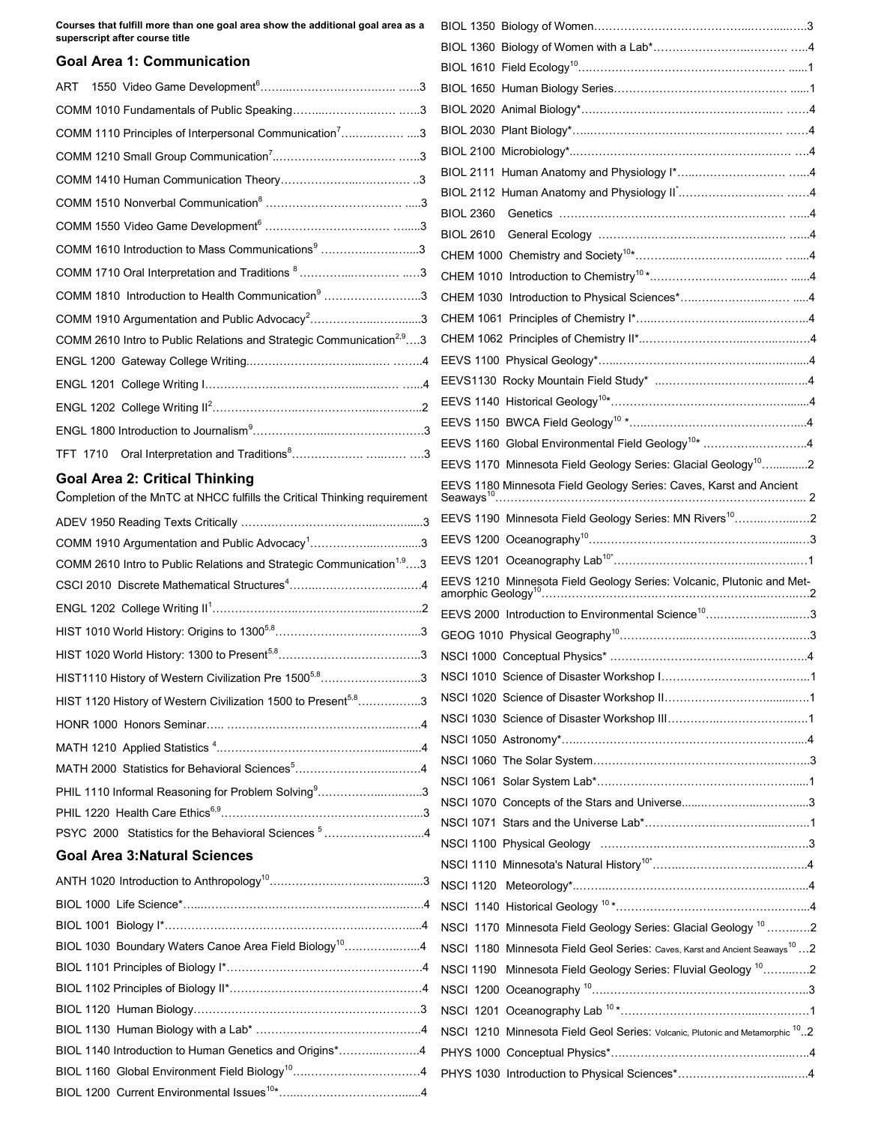**Courses that fulfill more than one goal area show the additional goal area as a superscript after course title**

#### **Goal Area 1: Communication**

| ART                                                                              |
|----------------------------------------------------------------------------------|
|                                                                                  |
| COMM 1110 Principles of Interpersonal Communication <sup>7</sup> 3               |
|                                                                                  |
|                                                                                  |
|                                                                                  |
|                                                                                  |
| COMM 1610 Introduction to Mass Communications <sup>9</sup> 3                     |
| COMM 1710 Oral Interpretation and Traditions 83                                  |
| COMM 1810 Introduction to Health Communication <sup>9</sup> 3                    |
| COMM 1910 Argumentation and Public Advocacy <sup>2</sup> 3                       |
| COMM 2610 Intro to Public Relations and Strategic Communication <sup>2,9</sup> 3 |
|                                                                                  |
|                                                                                  |
|                                                                                  |
|                                                                                  |
| <b>TFT 1710</b>                                                                  |

#### **Goal Area 2: Critical Thinking**

| Completion of the MnTC at NHCC fulfills the Critical Thinking requirement        |  |
|----------------------------------------------------------------------------------|--|
|                                                                                  |  |
| COMM 1910 Argumentation and Public Advocacy <sup>1</sup> 3                       |  |
| COMM 2610 Intro to Public Relations and Strategic Communication <sup>1,9</sup> 3 |  |
|                                                                                  |  |
|                                                                                  |  |
|                                                                                  |  |
|                                                                                  |  |
| HIST1110 History of Western Civilization Pre 1500 <sup>5,8</sup> 3               |  |
| HIST 1120 History of Western Civilization 1500 to Present <sup>5,8</sup> 3       |  |
|                                                                                  |  |
|                                                                                  |  |
| MATH 2000 Statistics for Behavioral Sciences <sup>5</sup> 4                      |  |
| PHIL 1110 Informal Reasoning for Problem Solving <sup>9</sup> 3                  |  |
|                                                                                  |  |
| PSYC 2000 Statistics for the Behavioral Sciences <sup>5</sup> 4                  |  |
| <b>Goal Area 3: Natural Sciences</b>                                             |  |
|                                                                                  |  |
|                                                                                  |  |
|                                                                                  |  |
| BIOL 1030 Boundary Waters Canoe Area Field Biology <sup>10</sup> 4               |  |
|                                                                                  |  |
|                                                                                  |  |

BIOL 1120 Human Biology……………………………………………………3 BIOL 1130 Human Biology with a Lab\* ……………………………………..4 BIOL 1140 Introduction to Human Genetics and Origins\*………..………..4 BIOL 1160 Global Environment Field Biology<sup>10</sup>..................................4 BIOL 1200 Current Environmental Issues<sup>10\*</sup>………………………………………4

| EEVS 1160 Global Environmental Field Geology <sup>10</sup> * 4                            |
|-------------------------------------------------------------------------------------------|
| EEVS 1170 Minnesota Field Geology Series: Glacial Geology <sup>10</sup> 2                 |
| EEVS 1180 Minnesota Field Geology Series: Caves, Karst and Ancient                        |
| EEVS 1190 Minnesota Field Geology Series: MN Rivers <sup>10</sup> 2                       |
|                                                                                           |
|                                                                                           |
|                                                                                           |
|                                                                                           |
| EEVS 2000 Introduction to Environmental Science <sup>10</sup> 3                           |
|                                                                                           |
|                                                                                           |
|                                                                                           |
|                                                                                           |
|                                                                                           |
|                                                                                           |
|                                                                                           |
|                                                                                           |
|                                                                                           |
|                                                                                           |
|                                                                                           |
|                                                                                           |
|                                                                                           |
|                                                                                           |
| NSCI 1170 Minnesota Field Geology Series: Glacial Geology <sup>10</sup> 2                 |
| NSCI 1180 Minnesota Field Geol Series: Caves, Karst and Ancient Seaways <sup>10</sup> 2   |
| NSCI 1190 Minnesota Field Geology Series: Fluvial Geology <sup>10</sup> 2                 |
|                                                                                           |
|                                                                                           |
| NSCI 1210 Minnesota Field Geol Series: Volcanic, Plutonic and Metamorphic <sup>10</sup> 2 |
|                                                                                           |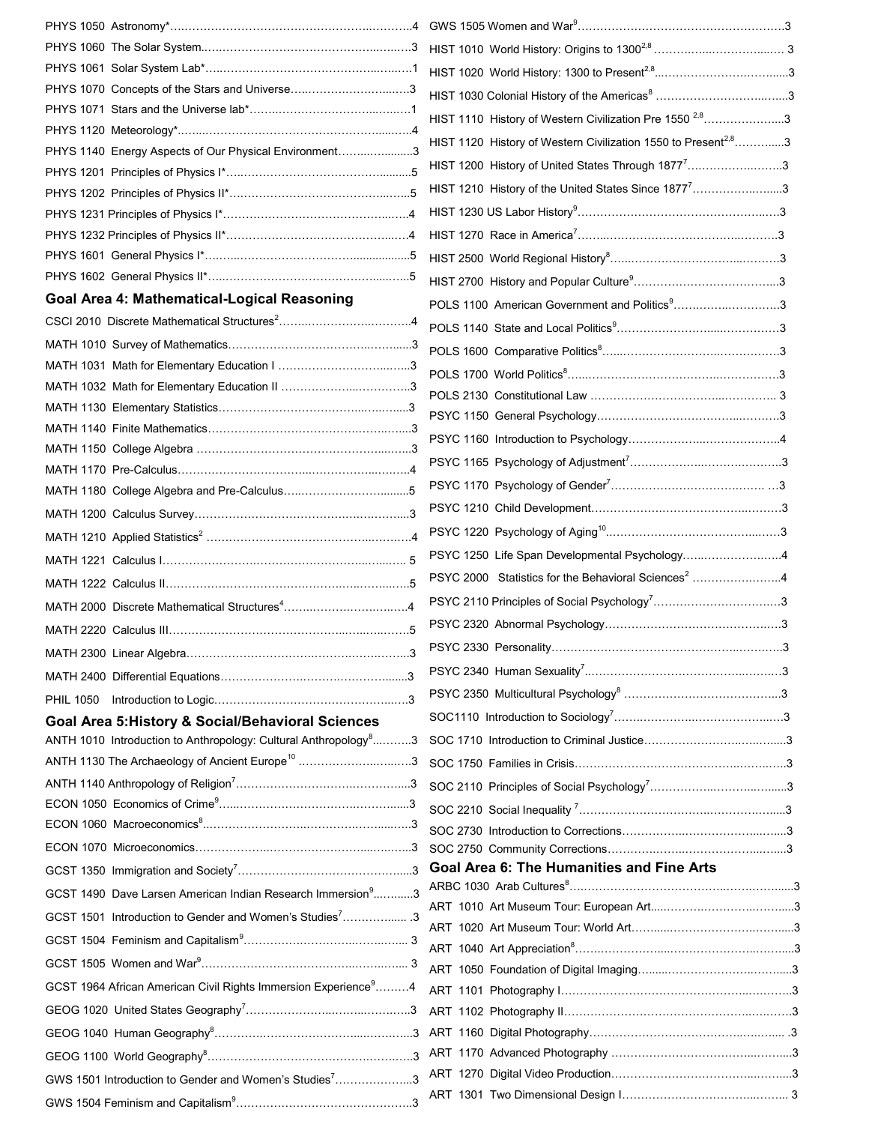| PHYS 1070 Concepts of the Stars and Universe3                                |                                                                            |  |
|------------------------------------------------------------------------------|----------------------------------------------------------------------------|--|
|                                                                              | HIST 1110 History of Western Civilization Pre 1550 <sup>2,8</sup> 3        |  |
|                                                                              | HIST 1120 History of Western Civilization 1550 to Present <sup>2,8</sup> 3 |  |
| PHYS 1140 Energy Aspects of Our Physical Environment3                        |                                                                            |  |
|                                                                              | HIST 1200 History of United States Through 1877 <sup>7</sup> 3             |  |
|                                                                              | HIST 1210 History of the United States Since 1877 <sup>7</sup> 3           |  |
|                                                                              |                                                                            |  |
|                                                                              |                                                                            |  |
|                                                                              |                                                                            |  |
|                                                                              |                                                                            |  |
| Goal Area 4: Mathematical-Logical Reasoning                                  | POLS 1100 American Government and Politics <sup>9</sup> 3                  |  |
|                                                                              |                                                                            |  |
|                                                                              |                                                                            |  |
|                                                                              |                                                                            |  |
|                                                                              |                                                                            |  |
|                                                                              |                                                                            |  |
|                                                                              |                                                                            |  |
|                                                                              |                                                                            |  |
|                                                                              |                                                                            |  |
|                                                                              |                                                                            |  |
|                                                                              |                                                                            |  |
|                                                                              |                                                                            |  |
|                                                                              | PSYC 1250 Life Span Developmental Psychology4                              |  |
|                                                                              | PSYC 2000 Statistics for the Behavioral Sciences <sup>2</sup> 4            |  |
|                                                                              |                                                                            |  |
|                                                                              |                                                                            |  |
| MATH 2300 Linear Algebra                                                     |                                                                            |  |
|                                                                              |                                                                            |  |
|                                                                              |                                                                            |  |
| <b>Goal Area 5: History &amp; Social/Behavioral Sciences</b>                 |                                                                            |  |
| ANTH 1010 Introduction to Anthropology: Cultural Anthropology <sup>8</sup> 3 |                                                                            |  |
| ANTH 1130 The Archaeology of Ancient Europe <sup>10</sup> 3                  |                                                                            |  |
|                                                                              |                                                                            |  |
|                                                                              |                                                                            |  |
|                                                                              |                                                                            |  |
|                                                                              |                                                                            |  |
|                                                                              | <b>Goal Area 6: The Humanities and Fine Arts</b>                           |  |
| GCST 1490 Dave Larsen American Indian Research Immersion <sup>9</sup> 3      |                                                                            |  |
| GCST 1501 Introduction to Gender and Women's Studies <sup>7</sup> 3          |                                                                            |  |
|                                                                              |                                                                            |  |
|                                                                              |                                                                            |  |
| GCST 1964 African American Civil Rights Immersion Experience <sup>9</sup> 4  |                                                                            |  |
|                                                                              |                                                                            |  |
|                                                                              |                                                                            |  |
|                                                                              |                                                                            |  |
|                                                                              |                                                                            |  |
| GWS 1501 Introduction to Gender and Women's Studies73                        |                                                                            |  |
|                                                                              |                                                                            |  |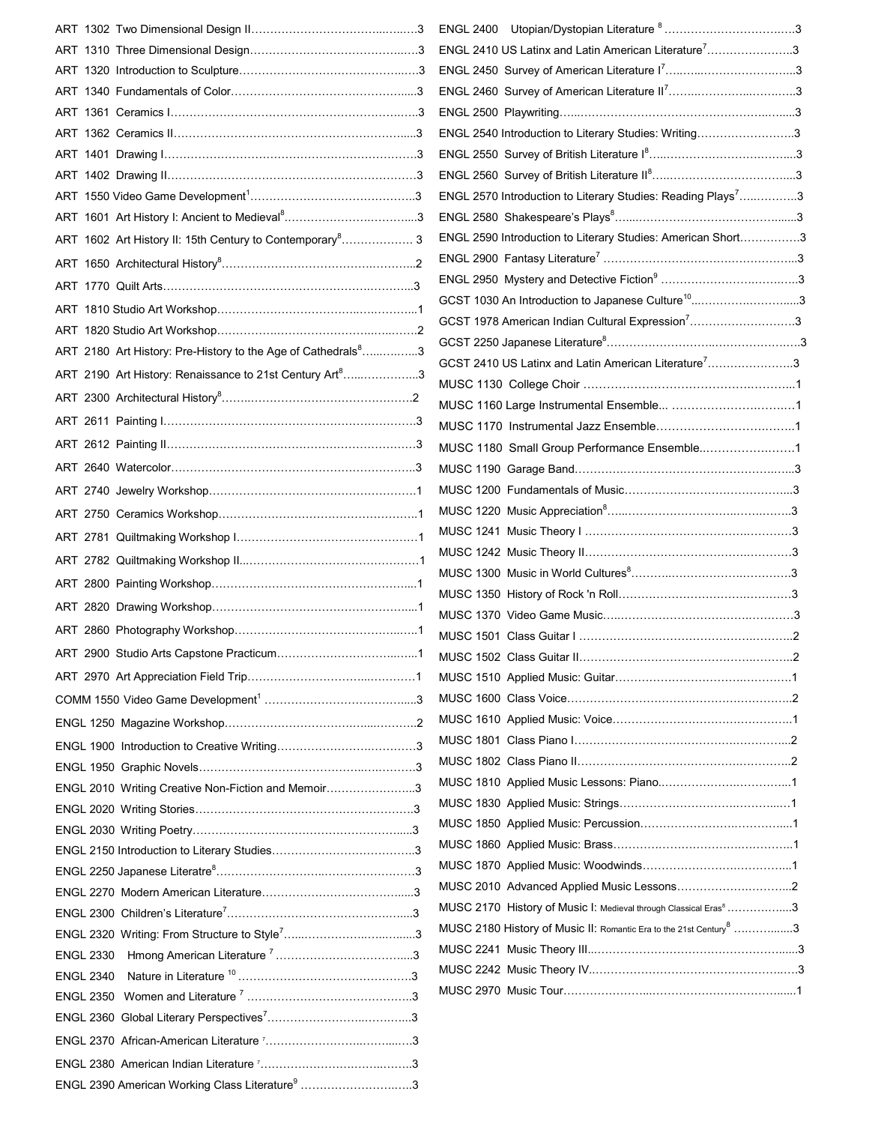|                                                                           | ENGL 2410 US Latinx and Latin American Literature <sup>7</sup> 3               |  |
|---------------------------------------------------------------------------|--------------------------------------------------------------------------------|--|
|                                                                           |                                                                                |  |
|                                                                           |                                                                                |  |
|                                                                           |                                                                                |  |
|                                                                           | ENGL 2540 Introduction to Literary Studies: Writing3                           |  |
|                                                                           |                                                                                |  |
|                                                                           |                                                                                |  |
|                                                                           | ENGL 2570 Introduction to Literary Studies: Reading Plays <sup>7</sup> 3       |  |
|                                                                           |                                                                                |  |
| ART 1602 Art History II: 15th Century to Contemporary <sup>8</sup> 3      | ENGL 2590 Introduction to Literary Studies: American Short3                    |  |
|                                                                           |                                                                                |  |
|                                                                           |                                                                                |  |
|                                                                           | GCST 1030 An Introduction to Japanese Culture <sup>10</sup> 3                  |  |
|                                                                           | GCST 1978 American Indian Cultural Expression <sup>7</sup> 3                   |  |
| ART 2180 Art History: Pre-History to the Age of Cathedrals <sup>8</sup> 3 |                                                                                |  |
|                                                                           | GCST 2410 US Latinx and Latin American Literature <sup>7</sup> 3               |  |
| ART 2190 Art History: Renaissance to 21st Century Art <sup>8</sup> 3      |                                                                                |  |
|                                                                           |                                                                                |  |
|                                                                           |                                                                                |  |
|                                                                           | MUSC 1180 Small Group Performance Ensemble1                                    |  |
|                                                                           |                                                                                |  |
|                                                                           |                                                                                |  |
|                                                                           |                                                                                |  |
|                                                                           |                                                                                |  |
|                                                                           |                                                                                |  |
|                                                                           |                                                                                |  |
|                                                                           |                                                                                |  |
|                                                                           |                                                                                |  |
|                                                                           |                                                                                |  |
| ART 2900 Studio Arts Capstone Practicum                                   |                                                                                |  |
|                                                                           |                                                                                |  |
|                                                                           |                                                                                |  |
|                                                                           |                                                                                |  |
|                                                                           |                                                                                |  |
|                                                                           |                                                                                |  |
| ENGL 2010 Writing Creative Non-Fiction and Memoir3                        |                                                                                |  |
|                                                                           |                                                                                |  |
|                                                                           |                                                                                |  |
|                                                                           |                                                                                |  |
|                                                                           |                                                                                |  |
|                                                                           |                                                                                |  |
|                                                                           | MUSC 2170 History of Music I: Medieval through Classical Eras <sup>8</sup> 3   |  |
|                                                                           | MUSC 2180 History of Music II: Romantic Era to the 21st Century <sup>8</sup> 3 |  |
| <b>ENGL 2330</b>                                                          |                                                                                |  |
| <b>ENGL 2340</b>                                                          |                                                                                |  |
|                                                                           |                                                                                |  |
|                                                                           |                                                                                |  |
|                                                                           |                                                                                |  |
|                                                                           |                                                                                |  |
|                                                                           |                                                                                |  |
| ENGL 2390 American Working Class Literature <sup>9</sup> 3                |                                                                                |  |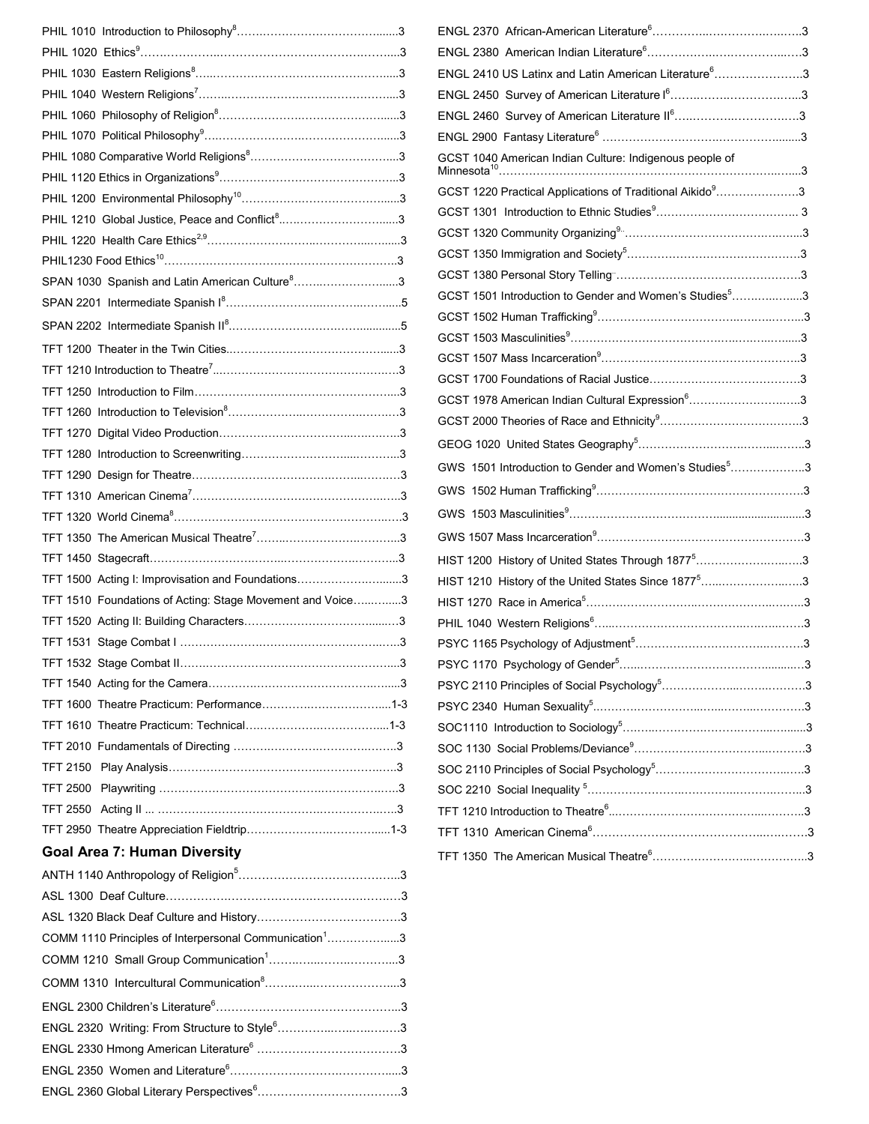|                                                                    | ENGL 2370 African-American Literature                                            |
|--------------------------------------------------------------------|----------------------------------------------------------------------------------|
|                                                                    | ENGL 2380 American Indian Literature <sup>6</sup>                                |
|                                                                    | <b>ENGL 2410 US Latinx and Latin America</b>                                     |
|                                                                    | ENGL 2450 Survey of American Literatu                                            |
|                                                                    | ENGL 2460 Survey of American Literatu                                            |
|                                                                    | ENGL 2900 Fantasy Literature <sup>6</sup>                                        |
|                                                                    | GCST 1040 American Indian Culture: Indi                                          |
|                                                                    |                                                                                  |
|                                                                    | GCST 1220 Practical Applications of Trad                                         |
| PHIL 1210 Global Justice, Peace and Conflict <sup>8</sup> 3        | GCST 1301 Introduction to Ethnic Studie                                          |
|                                                                    | GCST 1320 Community Organizing <sup>9</sup>                                      |
|                                                                    | GCST 1350 Immigration and Society <sup>5</sup>                                   |
| SPAN 1030 Spanish and Latin American Culture <sup>8</sup> 3        | GCST 1380 Personal Story Telling"                                                |
|                                                                    | GCST 1501 Introduction to Gender and W                                           |
|                                                                    | GCST 1502 Human Trafficking <sup>9</sup><br>GCST 1503 Masculinities <sup>9</sup> |
|                                                                    | GCST 1507 Mass Incarceration <sup>9</sup>                                        |
|                                                                    |                                                                                  |
|                                                                    | GCST 1700 Foundations of Racial Justice                                          |
|                                                                    | GCST 1978 American Indian Cultural Exp                                           |
|                                                                    | GCST 2000 Theories of Race and Ethnici                                           |
|                                                                    | GEOG 1020 United States Geography <sup>5</sup>                                   |
|                                                                    | GWS 1501 Introduction to Gender and W                                            |
|                                                                    | GWS 1502 Human Trafficking <sup>9</sup>                                          |
|                                                                    | GWS 1503 Masculinities9                                                          |
|                                                                    | GWS 1507 Mass Incarceration <sup>9</sup>                                         |
|                                                                    | HIST 1200 History of United States Throu                                         |
| TFT 1500 Acting I: Improvisation and Foundations3                  | HIST 1210 History of the United States S                                         |
| TFT 1510 Foundations of Acting: Stage Movement and Voice3          | HIST 1270 Race in America <sup>5</sup>                                           |
|                                                                    | PHIL 1040 Western Religions <sup>6</sup>                                         |
|                                                                    | PSYC 1165 Psychology of Adjustment <sup>5</sup>                                  |
|                                                                    | PSYC 1170 Psychology of Gender <sup>5</sup>                                      |
|                                                                    | PSYC 2110 Principles of Social Psycholo                                          |
|                                                                    | PSYC 2340 Human Sexuality <sup>5</sup>                                           |
|                                                                    | SOC1110 Introduction to Sociology <sup>5</sup>                                   |
|                                                                    | SOC 1130 Social Problems/Deviance <sup>9</sup>                                   |
|                                                                    | SOC 2110 Principles of Social Psycholog                                          |
|                                                                    | SOC 2210 Social Inequality <sup>5</sup>                                          |
|                                                                    | TFT 1210 Introduction to Theatre <sup>6</sup>                                    |
|                                                                    | TFT 1310 American Cinema <sup>6</sup>                                            |
| <b>Goal Area 7: Human Diversity</b>                                | TFT 1350 The American Musical Theatre                                            |
|                                                                    |                                                                                  |
|                                                                    |                                                                                  |
|                                                                    |                                                                                  |
| COMM 1110 Principles of Interpersonal Communication <sup>1</sup> 3 |                                                                                  |
|                                                                    |                                                                                  |
|                                                                    |                                                                                  |
|                                                                    |                                                                                  |
| ENGL 2320 Writing: From Structure to Style <sup>6</sup> 3          |                                                                                  |
|                                                                    |                                                                                  |
|                                                                    |                                                                                  |
|                                                                    |                                                                                  |
|                                                                    |                                                                                  |

| ENGL 2410 US Latinx and Latin American Literature <sup>6</sup> 3      |
|-----------------------------------------------------------------------|
|                                                                       |
| ENGL 2460 Survey of American Literature II <sup>6</sup> 3             |
|                                                                       |
| GCST 1040 American Indian Culture: Indigenous people of               |
| GCST 1220 Practical Applications of Traditional Aikido <sup>9</sup> 3 |
|                                                                       |
|                                                                       |
|                                                                       |
|                                                                       |
| GCST 1501 Introduction to Gender and Women's Studies <sup>5</sup> 3   |
|                                                                       |
|                                                                       |
|                                                                       |
|                                                                       |
| GCST 1978 American Indian Cultural Expression <sup>6</sup> 3          |
|                                                                       |
|                                                                       |
| GWS 1501 Introduction to Gender and Women's Studies <sup>5</sup> 3    |
|                                                                       |
|                                                                       |
|                                                                       |
| HIST 1200 History of United States Through 1877 <sup>5</sup> 3        |
| HIST 1210 History of the United States Since 1877 <sup>5</sup> 3      |
|                                                                       |
|                                                                       |
|                                                                       |
|                                                                       |
|                                                                       |
|                                                                       |
|                                                                       |
|                                                                       |
|                                                                       |
|                                                                       |
|                                                                       |
|                                                                       |
|                                                                       |
|                                                                       |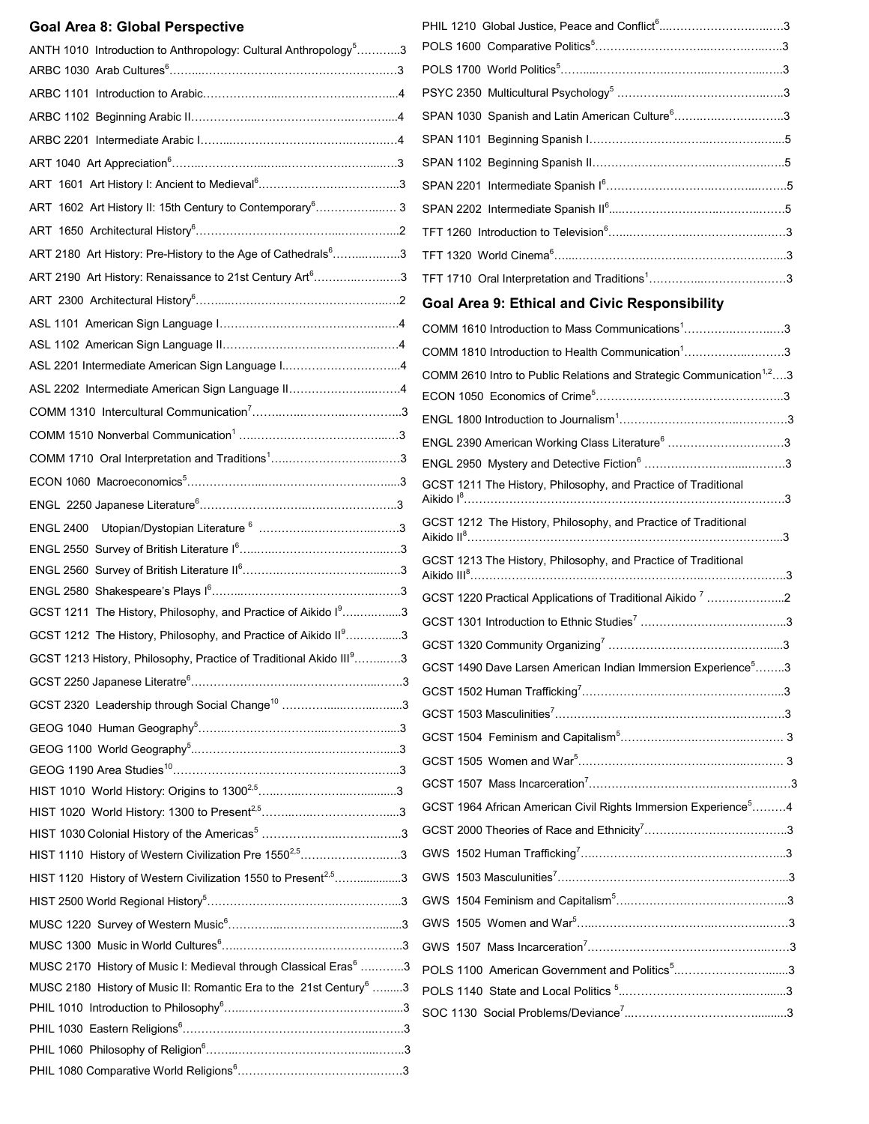| <b>Goal Area 8: Global Perspective</b>                                         | PHIL 1210 Global Justice, Peace and Conflict <sup>6</sup> 3                      |  |
|--------------------------------------------------------------------------------|----------------------------------------------------------------------------------|--|
| ANTH 1010 Introduction to Anthropology: Cultural Anthropology <sup>5</sup> 3   |                                                                                  |  |
|                                                                                |                                                                                  |  |
|                                                                                |                                                                                  |  |
|                                                                                | SPAN 1030 Spanish and Latin American Culture <sup>6</sup> 3                      |  |
|                                                                                |                                                                                  |  |
|                                                                                |                                                                                  |  |
|                                                                                |                                                                                  |  |
| ART 1602 Art History II: 15th Century to Contemporary <sup>6</sup> 3           |                                                                                  |  |
|                                                                                |                                                                                  |  |
| ART 2180 Art History: Pre-History to the Age of Cathedrals <sup>6</sup> 3      |                                                                                  |  |
| ART 2190 Art History: Renaissance to 21st Century Art <sup>6</sup> 3           |                                                                                  |  |
|                                                                                |                                                                                  |  |
|                                                                                | Goal Area 9: Ethical and Civic Responsibility                                    |  |
|                                                                                | COMM 1610 Introduction to Mass Communications <sup>1</sup> 3                     |  |
| ASL 2201 Intermediate American Sign Language I4                                | COMM 1810 Introduction to Health Communication <sup>1</sup> 3                    |  |
|                                                                                | COMM 2610 Intro to Public Relations and Strategic Communication <sup>1,2</sup> 3 |  |
| ASL 2202 Intermediate American Sign Language II4                               |                                                                                  |  |
|                                                                                |                                                                                  |  |
|                                                                                | ENGL 2390 American Working Class Literature <sup>6</sup> 3                       |  |
|                                                                                |                                                                                  |  |
|                                                                                | GCST 1211 The History, Philosophy, and Practice of Traditional                   |  |
|                                                                                |                                                                                  |  |
|                                                                                | GCST 1212 The History, Philosophy, and Practice of Traditional                   |  |
|                                                                                | GCST 1213 The History, Philosophy, and Practice of Traditional                   |  |
|                                                                                |                                                                                  |  |
|                                                                                | GCST 1220 Practical Applications of Traditional Aikido <sup>7</sup> 2            |  |
| GCST 1211 The History, Philosophy, and Practice of Aikido I <sup>9</sup> 3     |                                                                                  |  |
| GCST 1212 The History, Philosophy, and Practice of Aikido II <sup>9</sup> 3    |                                                                                  |  |
| GCST 1213 History, Philosophy, Practice of Traditional Akido III93             | GCST 1490 Dave Larsen American Indian Immersion Experience <sup>5</sup> 3        |  |
|                                                                                |                                                                                  |  |
| GCST 2320 Leadership through Social Change <sup>10</sup> 3                     |                                                                                  |  |
|                                                                                |                                                                                  |  |
|                                                                                |                                                                                  |  |
|                                                                                |                                                                                  |  |
|                                                                                |                                                                                  |  |
|                                                                                | GCST 1964 African American Civil Rights Immersion Experience <sup>5</sup> 4      |  |
|                                                                                |                                                                                  |  |
| HIST 1110 History of Western Civilization Pre 1550 <sup>2,5</sup> 3            |                                                                                  |  |
| HIST 1120 History of Western Civilization 1550 to Present <sup>2,5</sup> 3     |                                                                                  |  |
|                                                                                |                                                                                  |  |
|                                                                                |                                                                                  |  |
|                                                                                |                                                                                  |  |
| MUSC 2170 History of Music I: Medieval through Classical Eras <sup>6</sup> 3   | POLS 1100 American Government and Politics <sup>5</sup> 3                        |  |
| MUSC 2180 History of Music II: Romantic Era to the 21st Century <sup>6</sup> 3 |                                                                                  |  |
|                                                                                |                                                                                  |  |
|                                                                                |                                                                                  |  |
|                                                                                |                                                                                  |  |
|                                                                                |                                                                                  |  |